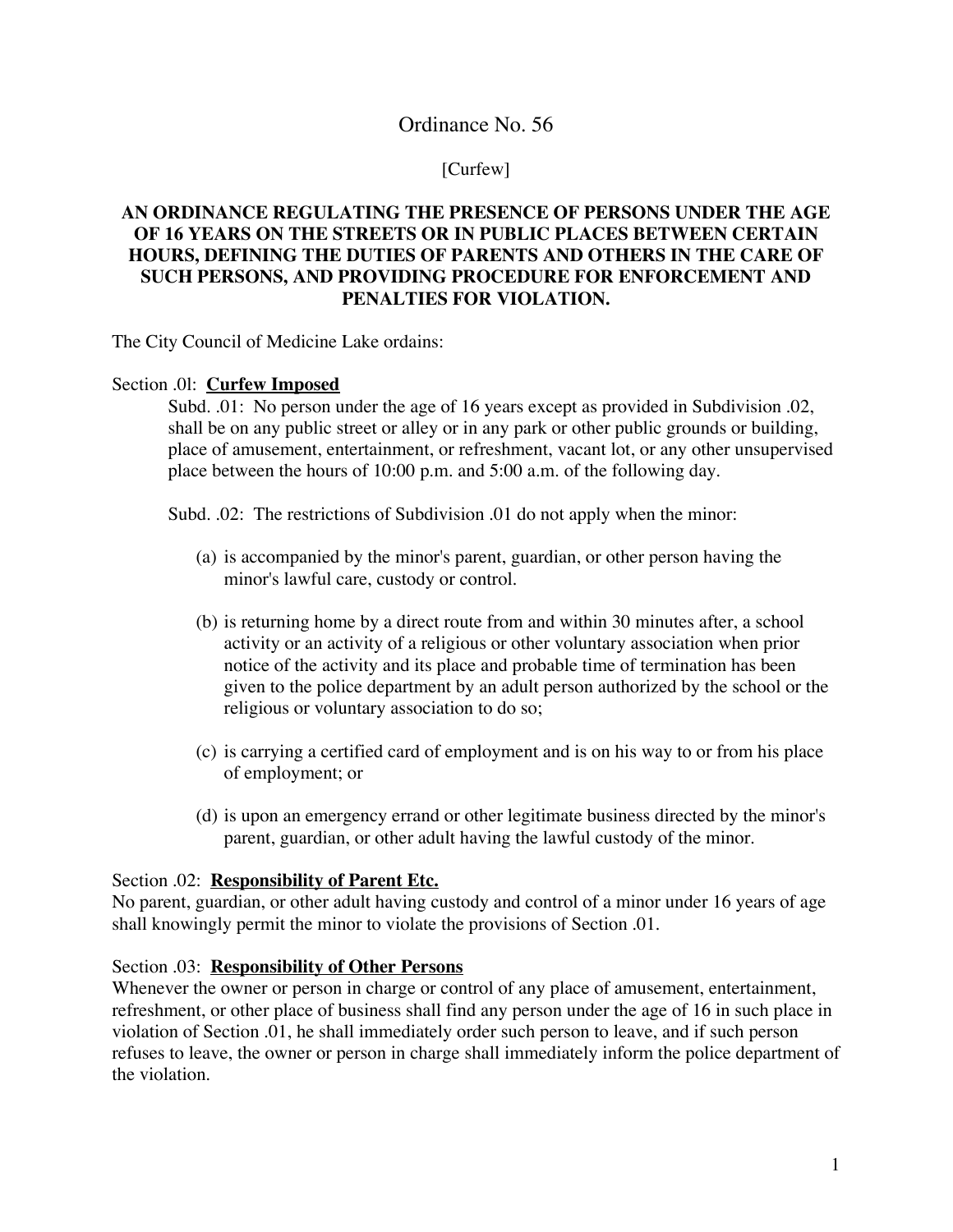# Ordinance No. 56

## [Curfew]

# **AN ORDINANCE REGULATING THE PRESENCE OF PERSONS UNDER THE AGE OF 16 YEARS ON THE STREETS OR IN PUBLIC PLACES BETWEEN CERTAIN HOURS, DEFINING THE DUTIES OF PARENTS AND OTHERS IN THE CARE OF SUCH PERSONS, AND PROVIDING PROCEDURE FOR ENFORCEMENT AND PENALTIES FOR VIOLATION.**

The City Council of Medicine Lake ordains:

### Section .0l: **Curfew Imposed**

Subd. .01: No person under the age of 16 years except as provided in Subdivision .02, shall be on any public street or alley or in any park or other public grounds or building, place of amusement, entertainment, or refreshment, vacant lot, or any other unsupervised place between the hours of 10:00 p.m. and 5:00 a.m. of the following day.

Subd. .02: The restrictions of Subdivision .01 do not apply when the minor:

- (a) is accompanied by the minor's parent, guardian, or other person having the minor's lawful care, custody or control.
- (b) is returning home by a direct route from and within 30 minutes after, a school activity or an activity of a religious or other voluntary association when prior notice of the activity and its place and probable time of termination has been given to the police department by an adult person authorized by the school or the religious or voluntary association to do so;
- (c) is carrying a certified card of employment and is on his way to or from his place of employment; or
- (d) is upon an emergency errand or other legitimate business directed by the minor's parent, guardian, or other adult having the lawful custody of the minor.

## Section .02: **Responsibility of Parent Etc.**

No parent, guardian, or other adult having custody and control of a minor under 16 years of age shall knowingly permit the minor to violate the provisions of Section .01.

#### Section .03: **Responsibility of Other Persons**

Whenever the owner or person in charge or control of any place of amusement, entertainment, refreshment, or other place of business shall find any person under the age of 16 in such place in violation of Section .01, he shall immediately order such person to leave, and if such person refuses to leave, the owner or person in charge shall immediately inform the police department of the violation.